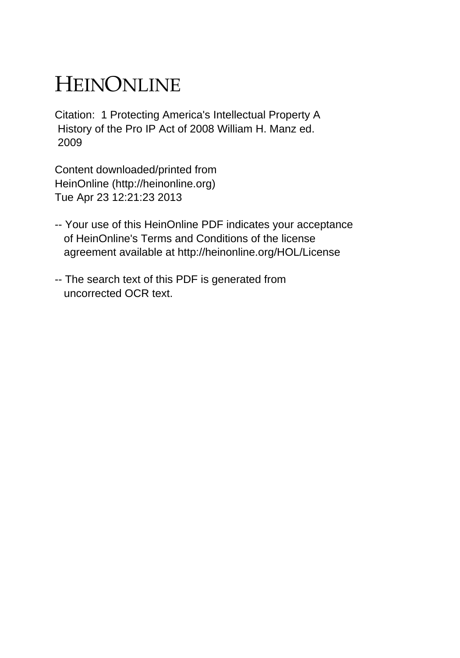# HEINONLINE

Citation: 1 Protecting America's Intellectual Property A History of the Pro IP Act of 2008 William H. Manz ed. 2009

Content downloaded/printed from HeinOnline (http://heinonline.org) Tue Apr 23 12:21:23 2013

- -- Your use of this HeinOnline PDF indicates your acceptance of HeinOnline's Terms and Conditions of the license agreement available at http://heinonline.org/HOL/License
- -- The search text of this PDF is generated from uncorrected OCR text.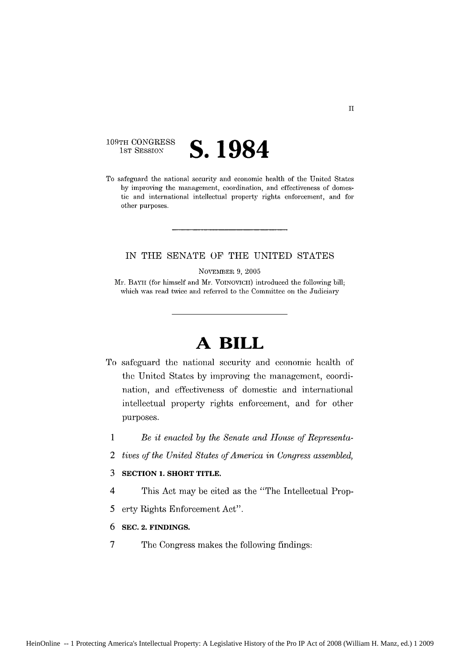$109\texttt{TH CONGRESS}\ \textcolor{red}{1}\texttt{ST} \textcolor{red}{\textbf{S}}\textcolor{red}{\textbf{E}} \textcolor{red}{\textbf{S}}\textcolor{red}{\textbf{I}}$ 

## **1ST** SESSION **S. 1984**

To safeguard the national security and economic health of the United States by improving the management, coordination, and effectiveness of domestic and international intellectual property rights enforcement, and for other purposes.

#### IN THE SENATE OF THE UNITED STATES

NOVEMBER 9, 2005

Mr. BATH (for himself and Mr. VOINOVICH) introduced the following bill; which was read twice and referred to the Committee on the Judiciary

## **A BILL**

- To safeguard the national security and economic health of the United States by improving the management, coordination, and effectiveness of domestic and international intellectual property rights enforcement, and for other purposes.
	- *1 Be it enacted by the Senate and House of Representa-*
	- 2 *tives of the United States of America in Congress assembled,*

#### **3 SECTION 1. SHORT TITLE.**

- 4 This Act may be cited as the "The Intellectual Prop-
- *5* erty Rights Enforcement Act".

#### **6 SEC. 2. FINDINGS.**

7 The Congress makes the following findings: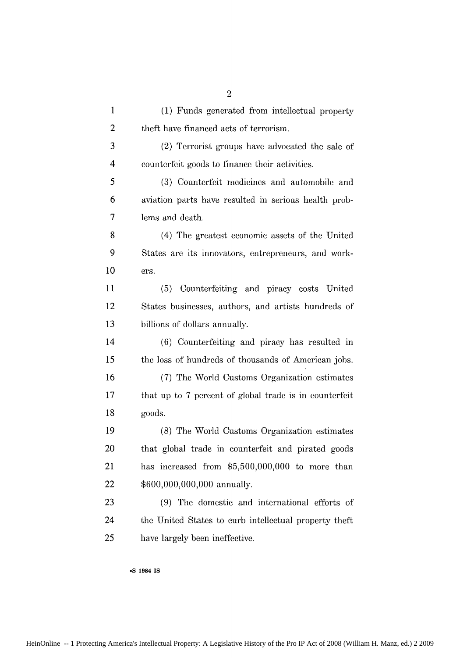**1 (1)** Funds generated from intellectual property 2 theft have financed acts of terrorism. **3** (2) Terrorist groups have advocated the sale of 4 counterfeit goods to finance their activities. **5 (3)** Counterfeit medicines and automobile and **6** aviation parts have resulted in serious health prob-**7** lems and death. **8** (4) The greatest economic assets of the United **9** States are its innovators, entrepreneurs, and work-**10** ers. **11 (5)** Counterfeiting and piracy costs United 12 States businesses, authors, and artists hundreds of **13** billions of dollars annually. 14 **(6)** Counterfeiting and piracy has resulted in **15** the loss of hundreds of thousands of American jobs. **16 (7)** The World Customs Organization estimates **17** that up to **7** percent of global trade is in counterfeit **18** goods. **19 (8)** The World Customs Organization estimates 20 that global trade in counterfeit and pirated goods 21 has increased from **\$5,500,000,000** to more than 22 **\$600,000,000,000** annually. **23 (9)** The domestic and international efforts of 24 the United States to curb intellectual property theft **25** have largely been ineffective.

**.S 1984 IS**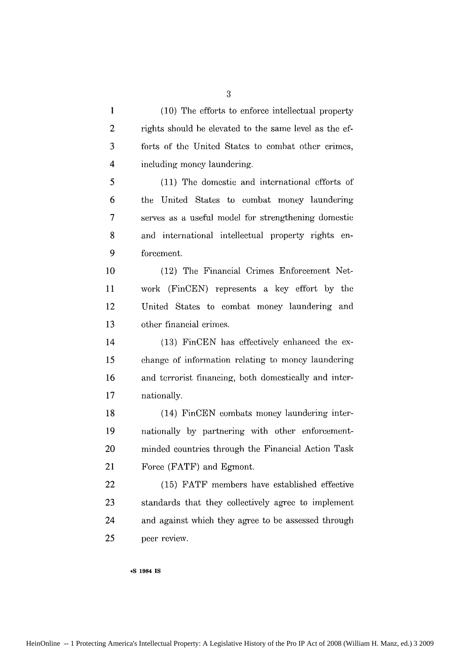3

| 1              | (10) The efforts to enforce intellectual property      |
|----------------|--------------------------------------------------------|
| $\overline{2}$ | rights should be elevated to the same level as the ef- |
| 3              | forts of the United States to combat other crimes,     |
| $\overline{4}$ | including money laundering.                            |
| 5              | (11) The domestic and international efforts of         |
| 6              | United States to combat money laundering<br>the        |
| $\overline{7}$ | serves as a useful model for strengthening domestic    |
| 8              | and international intellectual property rights en-     |
| 9              | forcement.                                             |
| 10             | (12) The Financial Crimes Enforcement Net-             |
| 11             | work (FinCEN) represents a key effort by the           |
| 12             | United States to combat money laundering and           |
| 13             | other financial crimes.                                |
| 14             | (13) FinCEN has effectively enhanced the ex-           |
| 15             | change of information relating to money laundering     |
| 16             | and terrorist financing, both domestically and inter-  |
| 17             | nationally.                                            |
| 18             | (14) FinCEN combats money laundering inter-            |
| 19             | nationally by partnering with other enforcement-       |
| 20             | minded countries through the Financial Action Task     |
| 21             | Force (FATF) and Egmont.                               |
| 22             | (15) FATF members have established effective           |
| 23             | standards that they collectively agree to implement    |
| 24             | and against which they agree to be assessed through    |
| 25             | peer review.                                           |
|                |                                                        |

**\*S 1984 IS**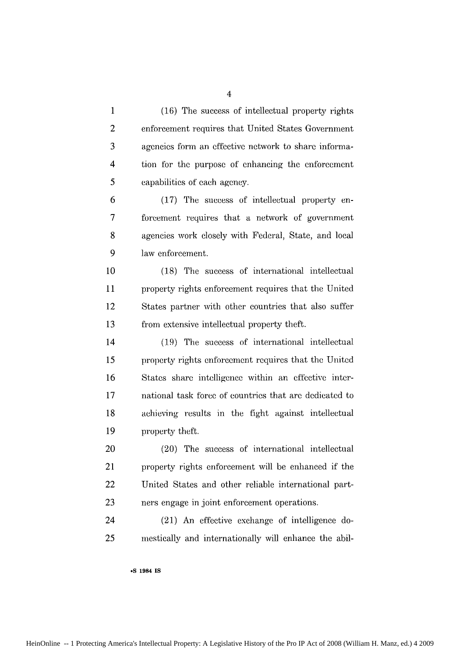4

**1** (16) The success of intellectual property rights 2 enforcement requires that United States Government 3 agencies form an effective network to share informa-4 tion for the purpose of enhancing the enforcement **5** capabilities of each agency.

6 (17) The success of intellectual property en-**7** forcement requires that a network of government 8 agencies work closely with Federal, State, and local 9 law enforcement.

10 (18) The success of international intellectual 11 property rights enforcement requires that the United 12 States partner with other countries that also suffer 13 from extensive intellectual property theft.

14 (19) The success of international intellectual 15 property rights enforcement requires that the United 16 States share intelligence within an effective inter-17 national task force of countries that are dedicated to 18 aehieving results in the fight against intellectual 19 property theft.

20 (20) The success of international intellectual 21 property rights enforcement will be enhanced if the 22 United States and other reliable international part-23 ners engage in joint enforcement operations.

24 (21) An effective exchange of intelligence do-25 mestically and internationally will enhance the abil-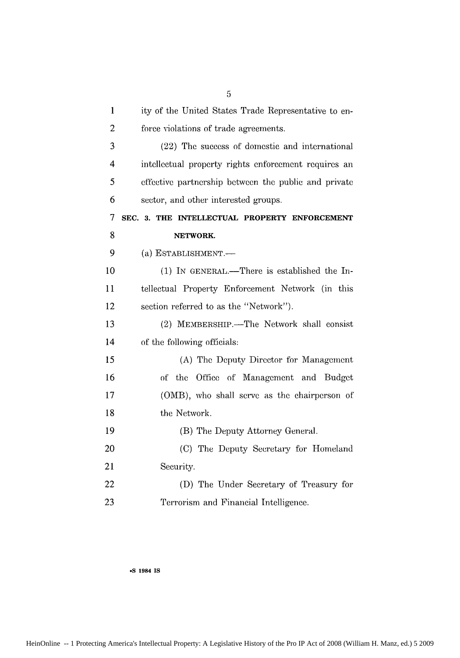| 1  | ity of the United States Trade Representative to en- |
|----|------------------------------------------------------|
| 2  | force violations of trade agreements.                |
| 3  | (22) The success of domestic and international       |
| 4  | intellectual property rights enforcement requires an |
| 5  | effective partnership between the public and private |
| 6  | sector, and other interested groups.                 |
| 7  | SEC. 3. THE INTELLECTUAL PROPERTY ENFORCEMENT        |
| 8  | NETWORK.                                             |
| 9  | (a) ESTABLISHMENT.-                                  |
| 10 | (1) IN GENERAL.—There is established the In-         |
| 11 | tellectual Property Enforcement Network (in this     |
| 12 | section referred to as the "Network").               |
| 13 | (2) MEMBERSHIP.-The Network shall consist            |
| 14 | of the following officials:                          |
| 15 | (A) The Deputy Director for Management               |
| 16 | Office of Management and Budget<br>of the            |
| 17 | (OMB), who shall serve as the chairperson of         |
| 18 | the Network.                                         |
| 19 | (B) The Deputy Attorney General.                     |
| 20 | (C) The Deputy Secretary for Homeland                |
| 21 | Security.                                            |
| 22 | (D) The Under Secretary of Treasury for              |
| 23 | Terrorism and Financial Intelligence.                |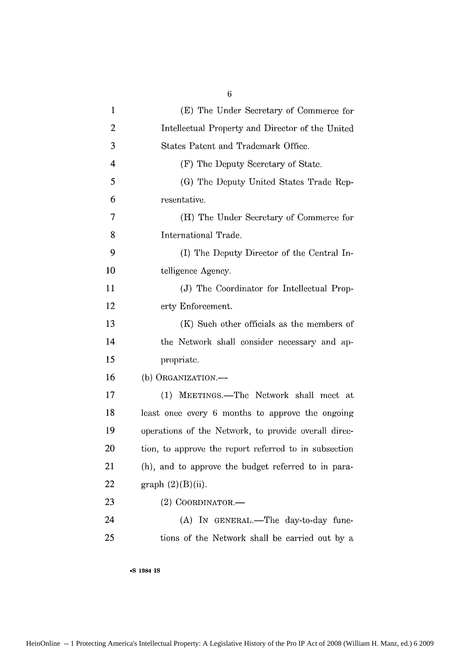| $\mathbf{1}$   | (E) The Under Secretary of Commerce for               |
|----------------|-------------------------------------------------------|
| $\overline{2}$ | Intellectual Property and Director of the United      |
| 3              | States Patent and Trademark Office.                   |
| 4              | (F) The Deputy Secretary of State.                    |
| 5              | (G) The Deputy United States Trade Rep-               |
| 6              | resentative.                                          |
| 7              | (H) The Under Secretary of Commerce for               |
| 8              | International Trade.                                  |
| 9              | (I) The Deputy Director of the Central In-            |
| 10             | telligence Agency.                                    |
| 11             | (J) The Coordinator for Intellectual Prop-            |
| 12             | erty Enforcement.                                     |
| 13             | (K) Such other officials as the members of            |
| 14             | the Network shall consider necessary and ap-          |
| 15             | propriate.                                            |
| 16             | (b) ORGANIZATION.-                                    |
| 17             | (1) MEETINGS.—The Network shall meet at               |
| 18             | least once every 6 months to approve the ongoing      |
| 19             | operations of the Network, to provide overall direc-  |
| 20             | tion, to approve the report referred to in subsection |
| 21             | (h), and to approve the budget referred to in para-   |
| 22             | graph $(2)(B)(ii)$ .                                  |
| 23             | (2) COORDINATOR.-                                     |
| 24             | (A) IN GENERAL.-The day-to-day func-                  |
| 25             | tions of the Network shall be carried out by a        |

**eS 1984 IS**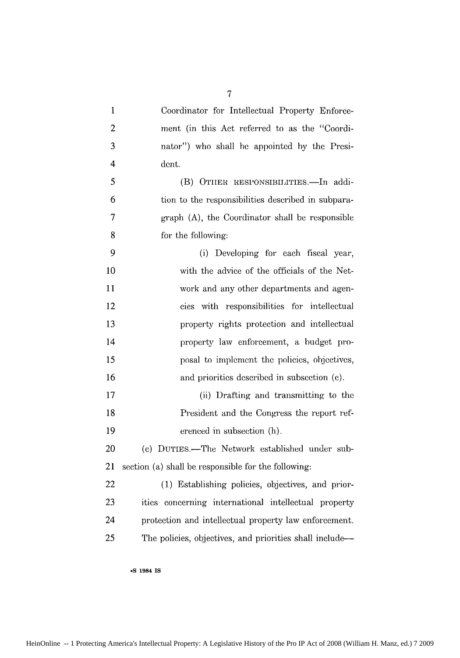7

| 1              | Coordinator for Intellectual Property Enforce-          |
|----------------|---------------------------------------------------------|
| $\overline{2}$ | ment (in this Act referred to as the "Coordi-           |
| 3              | nator") who shall be appointed by the Presi-            |
| $\overline{4}$ | dent.                                                   |
| 5              | (B) OTHER RESPONSIBILITIES.-In addi-                    |
| 6              | tion to the responsibilities described in subpara-      |
| 7              | graph (A), the Coordinator shall be responsible         |
| 8              | for the following:                                      |
| 9              | (i) Developing for each fiscal year,                    |
| 10             | with the advice of the officials of the Net-            |
| 11             | work and any other departments and agen-                |
| 12             | cies with responsibilities for intellectual             |
| 13             | property rights protection and intellectual             |
| 14             | property law enforcement, a budget pro-                 |
| 15             | posal to implement the policies, objectives,            |
| 16             | and priorities described in subsection (c).             |
| 17             | (ii) Drafting and transmitting to the                   |
| 18             | President and the Congress the report ref-              |
| 19             | erenced in subsection (h).                              |
| 20             | (c) DUTIES.-The Network established under sub-          |
| 21             | section (a) shall be responsible for the following:     |
| 22             | (1) Establishing policies, objectives, and prior-       |
| 23             | ities concerning international intellectual property    |
| 24             | protection and intellectual property law enforcement.   |
| 25             | The policies, objectives, and priorities shall include— |

**9S 1984 IS**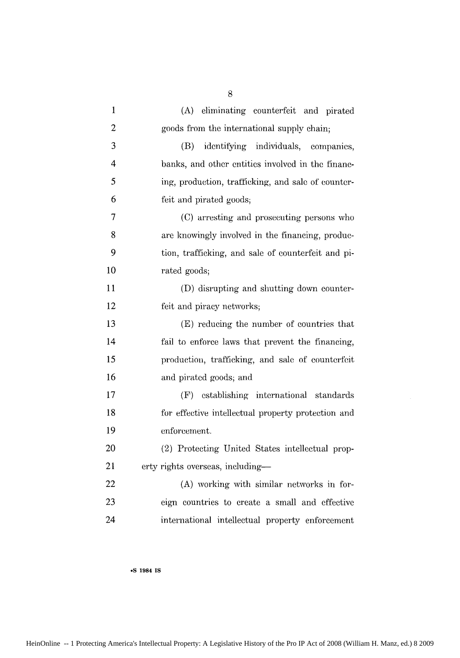| $\mathbf{1}$   | (A) eliminating counterfeit and pirated            |
|----------------|----------------------------------------------------|
| $\overline{c}$ | goods from the international supply chain;         |
| 3              | identifying individuals, companies,<br>(B)         |
| 4              | banks, and other entities involved in the financ-  |
| 5              | ing, production, trafficking, and sale of counter- |
| 6              | feit and pirated goods;                            |
| 7              | (C) arresting and prosecuting persons who          |
| 8              | are knowingly involved in the financing, produc-   |
| 9              | tion, trafficking, and sale of counterfeit and pi- |
| 10             | rated goods;                                       |
| 11             | (D) disrupting and shutting down counter-          |
| 12             | feit and piracy networks;                          |
| 13             | (E) reducing the number of countries that          |
| 14             | fail to enforce laws that prevent the financing,   |
| 15             | production, trafficking, and sale of counterfeit   |
| 16             | and pirated goods, and                             |
| 17             | (F) establishing international standards           |
| 18             | for effective intellectual property protection and |
| 19             | enforcement.                                       |
| 20             | (2) Protecting United States intellectual prop-    |
| 21             | erty rights overseas, including-                   |
| 22             | (A) working with similar networks in for-          |
| 23             | eign countries to create a small and effective     |
| 24             | international intellectual property enforcement    |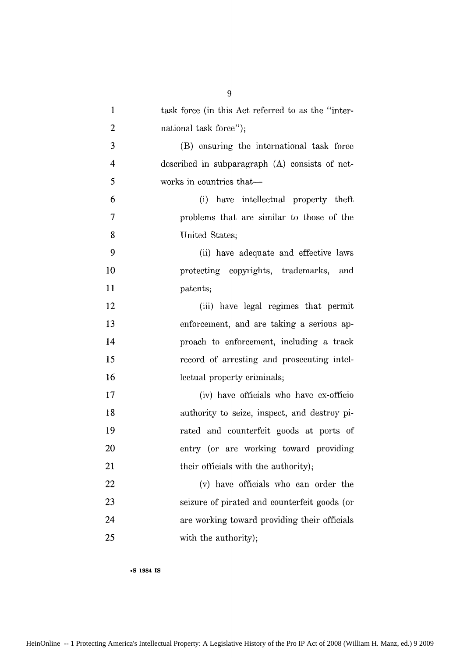| 1                       | task force (in this Act referred to as the "inter- |
|-------------------------|----------------------------------------------------|
| $\overline{2}$          | national task force");                             |
| 3                       | (B) ensuring the international task force          |
| $\overline{\mathbf{4}}$ | described in subparagraph (A) consists of net-     |
| 5                       | works in countries that-                           |
| 6                       | have intellectual property theft<br>(i)            |
| 7                       | problems that are similar to those of the          |
| 8                       | United States;                                     |
| 9                       | (ii) have adequate and effective laws              |
| 10                      | protecting copyrights, trademarks,<br>and          |
| 11                      | patents;                                           |
| 12                      | (iii) have legal regimes that permit               |
| 13                      | enforcement, and are taking a serious ap-          |
| 14                      | proach to enforcement, including a track           |
| 15                      | record of arresting and prosecuting intel-         |
| 16                      | lectual property criminals;                        |
| 17                      | (iv) have officials who have ex-officio            |
| 18                      | authority to seize, inspect, and destroy pi-       |
| 19                      | rated and counterfeit goods at ports of            |
| 20                      | entry (or are working toward providing             |
| 21                      | their officials with the authority);               |
| 22                      | (v) have officials who can order the               |
| 23                      | seizure of pirated and counterfeit goods (or       |
| 24                      | are working toward providing their officials       |
| 25                      | with the authority);                               |

**-S 1984 IS**

HeinOnline -- 1 Protecting America's Intellectual Property: A Legislative History of the Pro IP Act of 2008 (William H. Manz, ed.) 9 2009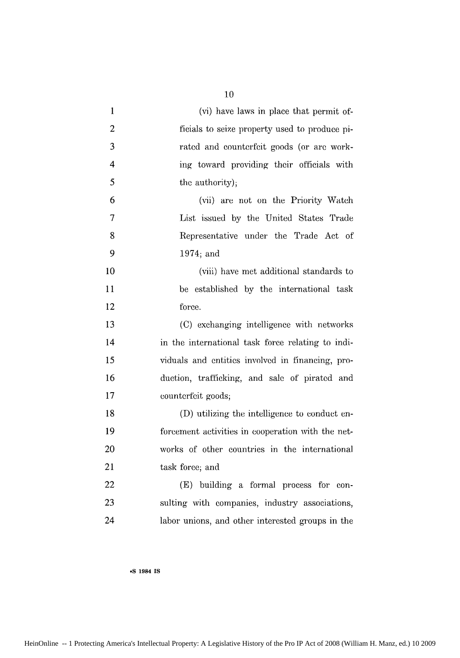| $\mathbf{1}$            | (vi) have laws in place that permit of-           |
|-------------------------|---------------------------------------------------|
| $\mathbf{2}$            | ficials to seize property used to produce pi-     |
| 3                       | rated and counterfeit goods (or are work-         |
| $\overline{\mathbf{4}}$ | ing toward providing their officials with         |
| 5                       | the authority);                                   |
| 6                       | (vii) are not on the Priority Watch               |
| 7                       | List issued by the United States Trade            |
| 8                       | Representative under the Trade Act of             |
| 9                       | 1974; and                                         |
| 10                      | (viii) have met additional standards to           |
| 11                      | be established by the international task          |
| 12                      | force.                                            |
| 13                      | (C) exchanging intelligence with networks         |
| 14                      | in the international task force relating to indi- |
| 15                      | viduals and entities involved in financing, pro-  |
| 16                      | duction, trafficking, and sale of pirated and     |
| 17                      | counterfeit goods;                                |
| 18                      | (D) utilizing the intelligence to conduct en-     |
| 19                      | forcement activities in cooperation with the net- |
| 20                      | works of other countries in the international     |
| 21                      | task force; and                                   |
| 22                      | (E) building a formal process for con-            |
| 23                      | sulting with companies, industry associations,    |
| 24                      | labor unions, and other interested groups in the  |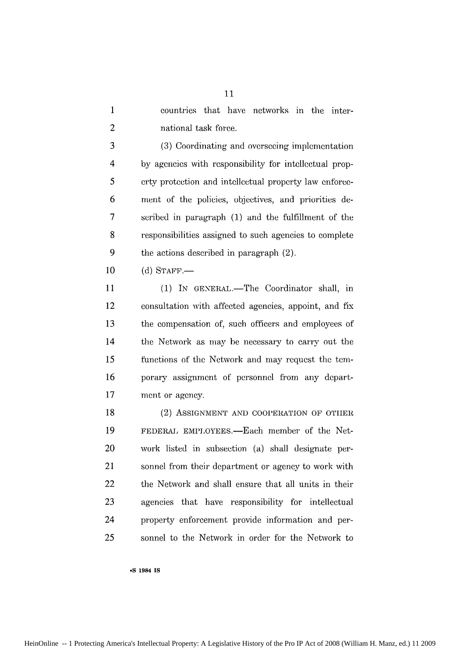**1** countries that have networks in the inter-2 national task force.

3 (3) Coordinating and overseeing implementation 4 by agencies with responsibility for intellectual prop-*5* erty protection and intellectual property law enforce-6 ment of the policies, objectives, and priorities de-**7 seribed in paragraph (1) and the fulfillment of the** 8 responsibilities assigned to such agencies to complete 9 the actions described in paragraph (2).

 $10$  (d) STAFF.

11 (1) IN GENERAL.—The Coordinator shall, in 12 consultation With affected agencies, appoint, and fix 13 the compensation of, such officers and employees of 14 the Network as may be necessary to carry out the 15 functions of the Network and may request the tem-16 porary assignment of personnel from any depart-17 ment or agency.

18 (2) ASSIGNMENT AND COOPERATION OF OTHER 19 FEDERAL EMPLOYEES.—Each member of the Net-20 work listed in subsection (a) shall designate per-21 sonnel from their department or agency to work with 22 the Network and shall ensure that all units in their 23 agencies that have responsibility for intellectual 24 property enforcement provide information and per-25 sonnel to the Network in order for the Network to

**\*S 1984 IS**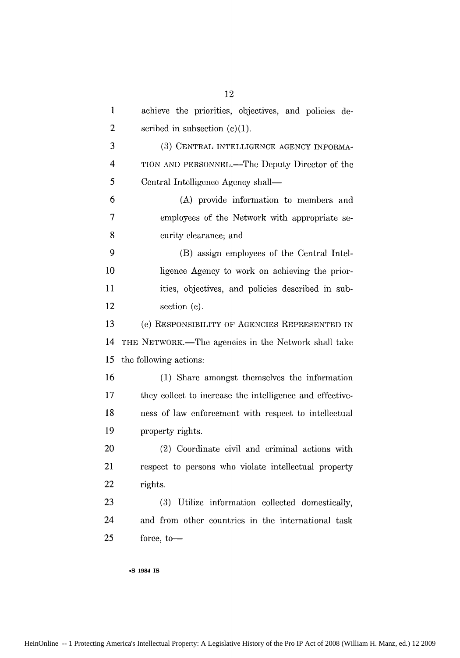| $\mathbf{1}$ | achieve the priorities, objectives, and policies de-     |
|--------------|----------------------------------------------------------|
| 2            | scribed in subsection $(c)(1)$ .                         |
| 3            | (3) CENTRAL INTELLIGENCE AGENCY INFORMA-                 |
| 4            | TION AND PERSONNEL.—The Deputy Director of the           |
| 5            | Central Intelligence Agency shall—                       |
| 6            | (A) provide information to members and                   |
| 7            | employees of the Network with appropriate se-            |
| 8            | curity clearance; and                                    |
| 9            | (B) assign employees of the Central Intel-               |
| 10           | ligence Agency to work on achieving the prior-           |
| 11           | ities, objectives, and policies described in sub-        |
| 12           | section (c).                                             |
| 13           | (e) RESPONSIBILITY OF AGENCIES REPRESENTED IN            |
| 14           | THE NETWORK.—The agencies in the Network shall take      |
| 15           | the following actions:                                   |
| 16           | (1) Share amongst themselves the information             |
| 17           | they collect to increase the intelligence and effective- |
| 18           | ness of law enforcement with respect to intellectual     |
| 19           | property rights.                                         |
| 20           | (2) Coordinate civil and criminal actions with           |
| 21           | respect to persons who violate intellectual property     |
| 22           | rights.                                                  |
| 23           | (3) Utilize information collected domestically,          |
| 24           | and from other countries in the international task       |
| 25           | force, $to-$                                             |
|              |                                                          |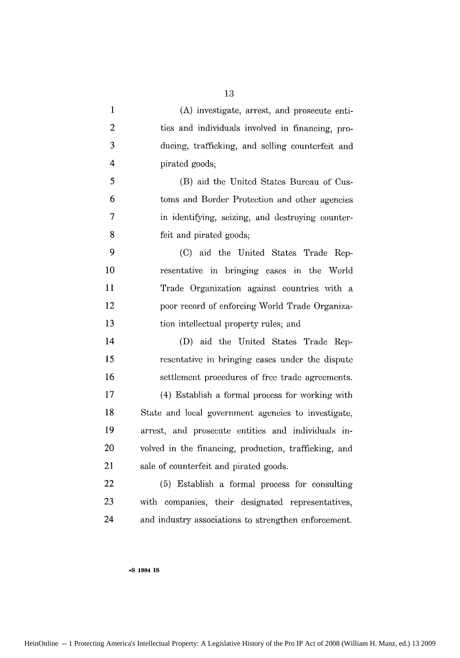| 5  | (B) aid the United States Bureau of Cus-              |
|----|-------------------------------------------------------|
| 6  | toms and Border Protection and other agencies         |
| 7  | in identifying, seizing, and destroying counter-      |
| 8  | feit and pirated goods;                               |
| 9  | (C) aid the United States Trade Rep-                  |
| 10 | resentative in bringing cases in the World            |
| 11 | Trade Organization against countries with a           |
| 12 | poor record of enforcing World Trade Organiza-        |
| 13 | tion intellectual property rules; and                 |
| 14 | (D) aid the United States Trade Rep-                  |
| 15 | resentative in bringing cases under the dispute       |
| 16 | settlement procedures of free trade agreements.       |
| 17 | (4) Establish a formal process for working with       |
| 18 | State and local government agencies to investigate,   |
| 19 | arrest, and prosecute entities and individuals in-    |
| 20 | volved in the financing, production, trafficking, and |
| 21 | sale of counterfeit and pirated goods.                |
| 22 | (5) Establish a formal process for consulting         |
| 23 | with companies, their designated representatives,     |
| 24 | and industry associations to strengthen enforcement.  |
|    |                                                       |
|    | •S 1984 IS                                            |
|    |                                                       |
|    |                                                       |

13

**1** (A) investigate, arrest, and prosecute enti-2 ties and individuals involved in financing, pro-3 ducing, trafficking, and selling counterfeit and

4 pirated goods;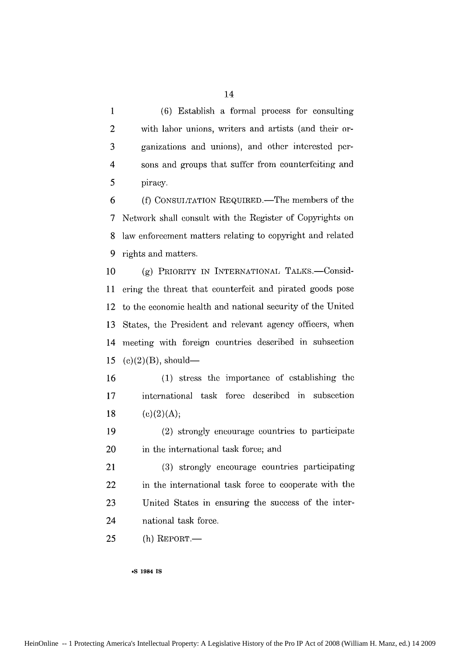1 (6) Establish a formal process for consulting 2 with labor unions, writers and artists (and their or-3 ganizations and unions), and other interested per-4 sons and groups that suffer from counterfeiting and *5* piracy.

6 (f) CONSULTATION REQUIRED.—The members of the 7 Network shall consult with the Register of Copyrights on 8 law enforcement matters relating to copyright and related 9 rights and matters.

10 (g) PRIORITY IN INTERNATIONAL TALKS.—Consid-11 ering the threat that counterfeit and pirated goods pose 12 to the economic health and national security of the United 13 States, the President and relevant agency officers, when 14 meeting with foreign countries described in subsection 15 (c) $(2)(B)$ , should-

16 (1) stress the importance of establishing the 17 international task force described in subsection 18  $(c)(2)(A);$ 

19 (2) strongly encourage countries to participate 20 in the international task force; and

21 (3) strongly encourage countries participating 22 in the international task force to cooperate with the 23 United States in ensuring the success of the inter-24 national task force.

 $25$  (h) REPORT.—

**\*S 1984 IS**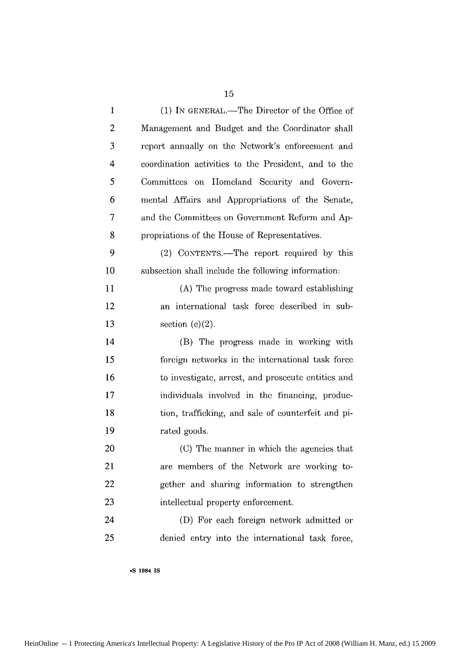| $\mathbf{1}$   | (1) IN GENERAL.—The Director of the Office of        |
|----------------|------------------------------------------------------|
| $\overline{c}$ | Management and Budget and the Coordinator shall      |
| 3              | report annually on the Network's enforcement and     |
| 4              | coordination activities to the President, and to the |
| 5              | Committees on Homeland Security and Govern-          |
| 6              | mental Affairs and Appropriations of the Senate,     |
| 7              | and the Committees on Government Reform and Ap-      |
| 8              | propriations of the House of Representatives.        |
| 9              | (2) CONTENTS.—The report required by this            |
| 10             | subsection shall include the following information:  |
| 11             | (A) The progress made toward establishing            |
| 12             | an international task force described in sub-        |
| 13             | section $(c)(2)$ .                                   |
| 14             | (B) The progress made in working with                |
| 15             | foreign networks in the international task force     |
| 16             | to investigate, arrest, and prosecute entities and   |
| 17             | individuals involved in the financing, produc-       |
| 18             | tion, trafficking, and sale of counterfeit and pi-   |
| 19             | rated goods.                                         |
| 20             | (C) The manner in which the agencies that            |
| 21             | are members of the Network are working to-           |
| 22             | gether and sharing information to strengthen         |
| 23             | intellectual property enforcement.                   |
| 24             | (D) For each foreign network admitted or             |
| 25             | denied entry into the international task force,      |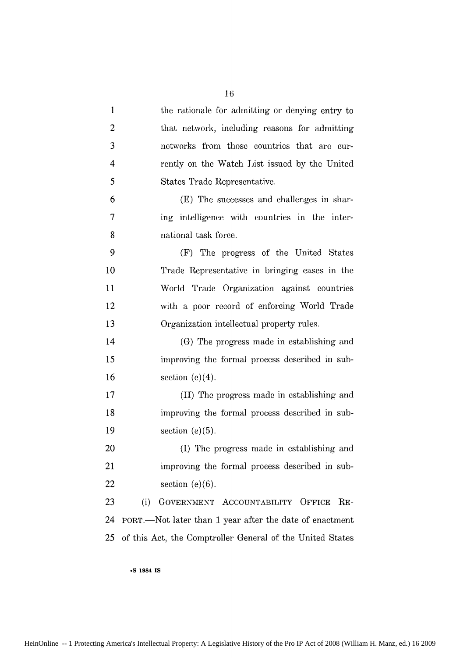| 1              | the rationale for admitting or denying entry to           |
|----------------|-----------------------------------------------------------|
| $\mathbf{2}$   | that network, including reasons for admitting             |
| 3              | networks from those countries that are cur-               |
| $\overline{4}$ | rently on the Watch List issued by the United             |
| 5              | States Trade Representative.                              |
| 6              | (E) The successes and challenges in shar-                 |
| 7              | ing intelligence with countries in the inter-             |
| 8              | national task force.                                      |
| 9              | (F) The progress of the United States                     |
| 10             | Trade Representative in bringing cases in the             |
| 11             | World Trade Organization against countries                |
| 12             | with a poor record of enforcing World Trade               |
| 13             | Organization intellectual property rules.                 |
| 14             | (G) The progress made in establishing and                 |
| 15             | improving the formal process described in sub-            |
| 16             | section $(c)(4)$ .                                        |
| 17             | (II) The progress made in establishing and                |
| 18             | improving the formal process described in sub-            |
| 19             | section $(e)(5)$ .                                        |
| 20             | (I) The progress made in establishing and                 |
| 21             | improving the formal process described in sub-            |
| 22             | section $(e)(6)$ .                                        |
| 23             | (i)<br>Office<br>$RE-$<br>GOVERNMENT ACCOUNTABILITY       |
| 24             | PORT.—Not later than 1 year after the date of enactment   |
| 25             | of this Act, the Comptroller General of the United States |
|                |                                                           |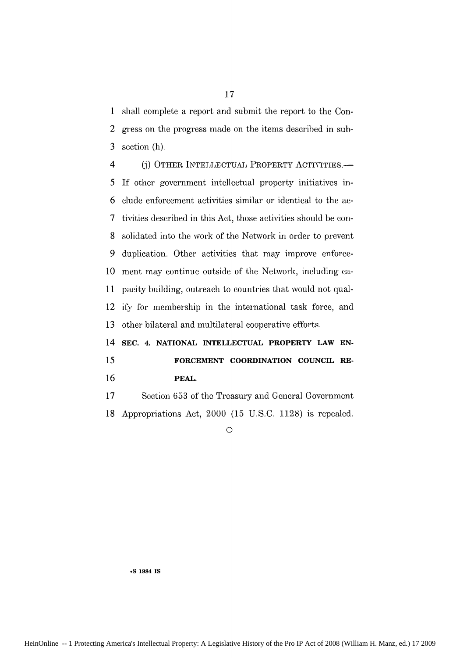**1 shall** complete a report and submit the report to the Con-2 gress on the progress made on the items described in sub-section (h).

**(j)** OTHER **INTELLECTUAL** PROPERTY ACTIVITIES.- **If** other government intellectual property initiatives in-elude enforcement activities similar or identical to the **ac-**tivities described in this Act, those activities should be con-solidated into the work of the Network in order to prevent duplication. Other activities that may improve enforce-ment may continue outside of the Network, including ca-pacity building, outreach to countries that would not qual-**ly** for membership in the international task force, and 13 other bilateral and multilateral cooperative efforts.

**SEC. 4. NATIONAL INTELLECTUAL PROPERTY LAW EN-FORCEMENT COORDINATION COUNCIL RE-16 PEAL.**

Section **653** of the Treasury and General Government Appropriations Act, 2000 **(15 U.S.C. 1128)** is repealed.

**9S 1984 IS**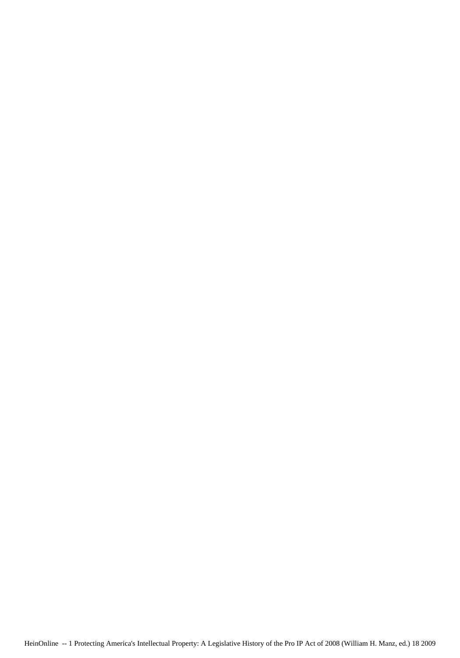HeinOnline -- 1 Protecting America's Intellectual Property: A Legislative History of the Pro IP Act of 2008 (William H. Manz, ed.) 18 2009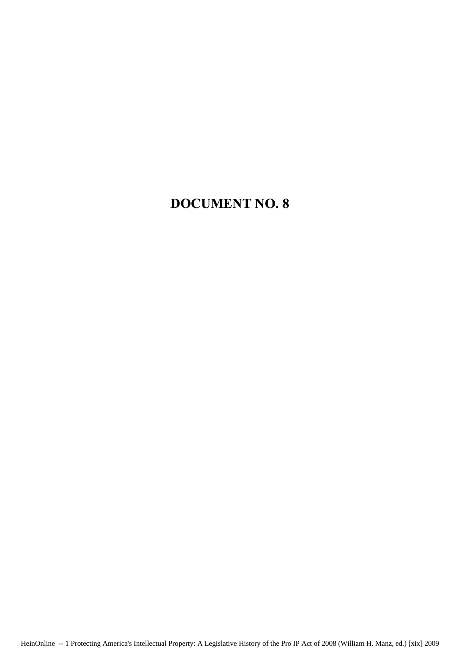### **DOCUMENT NO. 8**

HeinOnline -- 1 Protecting America's Intellectual Property: A Legislative History of the Pro IP Act of 2008 (William H. Manz, ed.) [xix] 2009